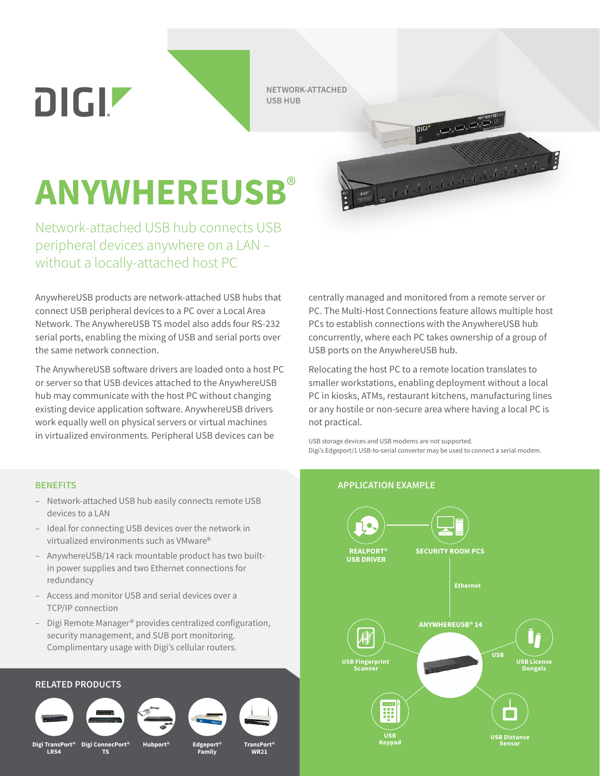DIGIZ

**NETWORK-ATTACHED USB HUB**

## **ANYWHEREUSB**®

Network-attached USB hub connects USB peripheral devices anywhere on a LAN – without a locally-attached host PC

AnywhereUSB products are network-attached USB hubs that connect USB peripheral devices to a PC over a Local Area Network. The AnywhereUSB TS model also adds four RS-232 serial ports, enabling the mixing of USB and serial ports over the same network connection.

The AnywhereUSB software drivers are loaded onto a host PC or server so that USB devices attached to the AnywhereUSB hub may communicate with the host PC without changing existing device application software. AnywhereUSB drivers work equally well on physical servers or virtual machines in virtualized environments. Peripheral USB devices can be

centrally managed and monitored from a remote server or PC. The Multi-Host Connections feature allows multiple host PCs to establish connections with the AnywhereUSB hub concurrently, where each PC takes ownership of a group of USB ports on the AnywhereUSB hub.

Relocating the host PC to a remote location translates to smaller workstations, enabling deployment without a local PC in kiosks, ATMs, restaurant kitchens, manufacturing lines or any hostile or non-secure area where having a local PC is not practical.

USB storage devices and USB modems are not supported. Digi's Edgeport/1 USB-to-serial converter may be used to connect a serial modem.

- Network-attached USB hub easily connects remote USB devices to a LAN
- Ideal for connecting USB devices over the network in virtualized environments such as VMware®
- AnywhereUSB/14 rack mountable product has two builtin power supplies and two Ethernet connections for redundancy
- Access and monitor USB and serial devices over a TCP/IP connection
- Digi Remote Manager® provides centralized configuration, security management, and SUB port monitoring. Complimentary usage with Digi's cellular routers.









**Family**

**WR21**

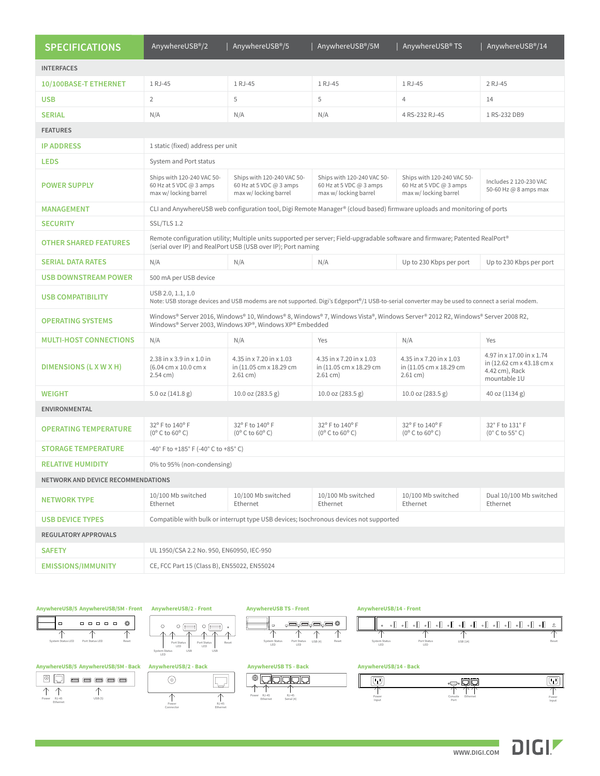| <b>SPECIFICATIONS</b>              | AnywhereUSB <sup>®</sup> /2                                                                                                                                                                   | AnywhereUSB <sup>®</sup> /5                                                    | AnywhereUSB®/5M                                                                | AnywhereUSB® TS                                                                | AnywhereUSB <sup>®</sup> /14                                                             |
|------------------------------------|-----------------------------------------------------------------------------------------------------------------------------------------------------------------------------------------------|--------------------------------------------------------------------------------|--------------------------------------------------------------------------------|--------------------------------------------------------------------------------|------------------------------------------------------------------------------------------|
| <b>INTERFACES</b>                  |                                                                                                                                                                                               |                                                                                |                                                                                |                                                                                |                                                                                          |
| 10/100BASE-T ETHERNET              | 1 RJ-45                                                                                                                                                                                       | 1 RJ-45                                                                        | 1 RJ-45                                                                        | 1 RJ-45                                                                        | 2 RJ-45                                                                                  |
| <b>USB</b>                         | $\overline{2}$                                                                                                                                                                                | 5                                                                              | 5                                                                              | 4                                                                              | 14                                                                                       |
| <b>SERIAL</b>                      | N/A                                                                                                                                                                                           | N/A                                                                            | N/A                                                                            | 4 RS-232 RJ-45                                                                 | 1 RS-232 DB9                                                                             |
| <b>FEATURES</b>                    |                                                                                                                                                                                               |                                                                                |                                                                                |                                                                                |                                                                                          |
| <b>IP ADDRESS</b>                  | 1 static (fixed) address per unit                                                                                                                                                             |                                                                                |                                                                                |                                                                                |                                                                                          |
| <b>LEDS</b>                        | System and Port status                                                                                                                                                                        |                                                                                |                                                                                |                                                                                |                                                                                          |
| <b>POWER SUPPLY</b>                | Ships with 120-240 VAC 50-<br>60 Hz at 5 VDC @ 3 amps<br>max w/ locking barrel                                                                                                                | Ships with 120-240 VAC 50-<br>60 Hz at 5 VDC @ 3 amps<br>max w/ locking barrel | Ships with 120-240 VAC 50-<br>60 Hz at 5 VDC @ 3 amps<br>max w/ locking barrel | Ships with 120-240 VAC 50-<br>60 Hz at 5 VDC @ 3 amps<br>max w/ locking barrel | Includes 2 120-230 VAC<br>50-60 Hz @ 8 amps max                                          |
| <b>MANAGEMENT</b>                  | CLI and AnywhereUSB web configuration tool, Digi Remote Manager® (cloud based) firmware uploads and monitoring of ports                                                                       |                                                                                |                                                                                |                                                                                |                                                                                          |
| <b>SECURITY</b>                    | SSL/TLS 1.2                                                                                                                                                                                   |                                                                                |                                                                                |                                                                                |                                                                                          |
| <b>OTHER SHARED FEATURES</b>       | Remote configuration utility; Multiple units supported per server; Field-upgradable software and firmware; Patented RealPort®<br>(serial over IP) and RealPort USB (USB over IP); Port naming |                                                                                |                                                                                |                                                                                |                                                                                          |
| <b>SERIAL DATA RATES</b>           | N/A                                                                                                                                                                                           | N/A                                                                            | N/A                                                                            | Up to 230 Kbps per port                                                        | Up to 230 Kbps per port                                                                  |
| <b>USB DOWNSTREAM POWER</b>        | 500 mA per USB device                                                                                                                                                                         |                                                                                |                                                                                |                                                                                |                                                                                          |
| <b>USB COMPATIBILITY</b>           | USB 2.0, 1.1, 1.0<br>Note: USB storage devices and USB modems are not supported. Digi's Edgeport <sup>®</sup> /1 USB-to-serial converter may be used to connect a serial modem.               |                                                                                |                                                                                |                                                                                |                                                                                          |
| <b>OPERATING SYSTEMS</b>           | Windows® Server 2016, Windows® 10, Windows® 8, Windows® 7, Windows Vista®, Windows Server® 2012 R2, Windows® Server 2008 R2,<br>Windows® Server 2003, Windows XP®, Windows XP® Embedded       |                                                                                |                                                                                |                                                                                |                                                                                          |
| <b>MULTI-HOST CONNECTIONS</b>      | N/A                                                                                                                                                                                           | N/A                                                                            | Yes                                                                            | N/A                                                                            | Yes                                                                                      |
| DIMENSIONS (L X W X H)             | 2.38 in x 3.9 in x 1.0 in<br>(6.04 cm x 10.0 cm x<br>$2.54$ cm)                                                                                                                               | 4.35 in x 7.20 in x 1.03<br>in (11.05 cm x 18.29 cm<br>$2.61$ cm)              | 4.35 in x 7.20 in x 1.03<br>in (11.05 cm x 18.29 cm<br>$2.61$ cm)              | 4.35 in x 7.20 in x 1.03<br>in (11.05 cm x 18.29 cm<br>$2.61$ cm)              | 4.97 in x 17.00 in x 1.74<br>in (12.62 cm x 43.18 cm x<br>4.42 cm), Rack<br>mountable 1U |
| <b>WEIGHT</b>                      | $5.0$ oz $(141.8 g)$                                                                                                                                                                          | 10.0 oz (283.5 g)                                                              | 10.0 oz (283.5 g)                                                              | 10.0 oz (283.5 g)                                                              | 40 oz (1134 g)                                                                           |
| <b>ENVIRONMENTAL</b>               |                                                                                                                                                                                               |                                                                                |                                                                                |                                                                                |                                                                                          |
| <b>OPERATING TEMPERATURE</b>       | 32° F to 140° F<br>$(0^{\circ}$ C to 60 $^{\circ}$ C)                                                                                                                                         | 32° F to 140° F<br>$(0^{\circ}$ C to 60 $^{\circ}$ C)                          | 32° F to 140° F<br>$(0^{\circ}$ C to 60 $^{\circ}$ C)                          | 32° F to 140° F<br>$(0^{\circ}$ C to 60 $^{\circ}$ C)                          | 32° F to 131° F<br>$(0^{\circ}$ C to 55 $^{\circ}$ C)                                    |
| <b>STORAGE TEMPERATURE</b>         | -40° F to +185° F (-40° C to +85° C)                                                                                                                                                          |                                                                                |                                                                                |                                                                                |                                                                                          |
| <b>RELATIVE HUMIDITY</b>           | 0% to 95% (non-condensing)                                                                                                                                                                    |                                                                                |                                                                                |                                                                                |                                                                                          |
| NETWORK AND DEVICE RECOMMENDATIONS |                                                                                                                                                                                               |                                                                                |                                                                                |                                                                                |                                                                                          |
| <b>NETWORK TYPE</b>                | 10/100 Mb switched<br>Ethernet                                                                                                                                                                | 10/100 Mb switched<br>Ethernet                                                 | 10/100 Mb switched<br>Ethernet                                                 | 10/100 Mb switched<br>Ethernet                                                 | Dual 10/100 Mb switched<br>Ethernet                                                      |
| <b>USB DEVICE TYPES</b>            | Compatible with bulk or interrupt type USB devices: Isochronous devices not supported                                                                                                         |                                                                                |                                                                                |                                                                                |                                                                                          |
| <b>REGULATORY APPROVALS</b>        |                                                                                                                                                                                               |                                                                                |                                                                                |                                                                                |                                                                                          |
| <b>SAFETY</b>                      | UL 1950/CSA 2.2 No. 950, EN60950, IEC-950                                                                                                                                                     |                                                                                |                                                                                |                                                                                |                                                                                          |
| <b>EMISSIONS/IMMUNITY</b>          | CE, FCC Part 15 (Class B), EN55022, EN55024                                                                                                                                                   |                                                                                |                                                                                |                                                                                |                                                                                          |